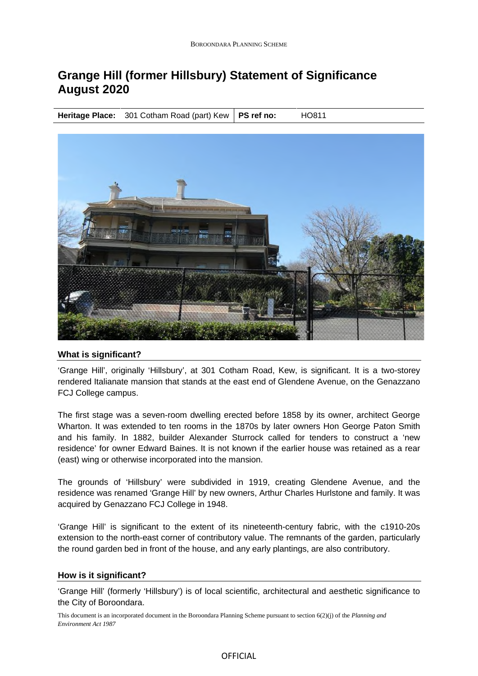# **Grange Hill (former Hillsbury) Statement of Significance August 2020**

**Heritage Place:** 301 Cotham Road (part) Kew | PS ref no: HO811



## **What is significant?**

'Grange Hill', originally 'Hillsbury', at 301 Cotham Road, Kew, is significant. It is a two-storey rendered Italianate mansion that stands at the east end of Glendene Avenue, on the Genazzano FCJ College campus.

The first stage was a seven-room dwelling erected before 1858 by its owner, architect George Wharton. It was extended to ten rooms in the 1870s by later owners Hon George Paton Smith and his family. In 1882, builder Alexander Sturrock called for tenders to construct a 'new residence' for owner Edward Baines. It is not known if the earlier house was retained as a rear (east) wing or otherwise incorporated into the mansion.

The grounds of 'Hillsbury' were subdivided in 1919, creating Glendene Avenue, and the residence was renamed 'Grange Hill' by new owners, Arthur Charles Hurlstone and family. It was acquired by Genazzano FCJ College in 1948.

'Grange Hill' is significant to the extent of its nineteenth-century fabric, with the c1910-20s extension to the north-east corner of contributory value. The remnants of the garden, particularly the round garden bed in front of the house, and any early plantings, are also contributory.

#### **How is it significant?**

'Grange Hill' (formerly 'Hillsbury') is of local scientific, architectural and aesthetic significance to the City of Boroondara.

This document is an incorporated document in the Boroondara Planning Scheme pursuant to section 6(2)(j) of the *Planning and Environment Act 1987*